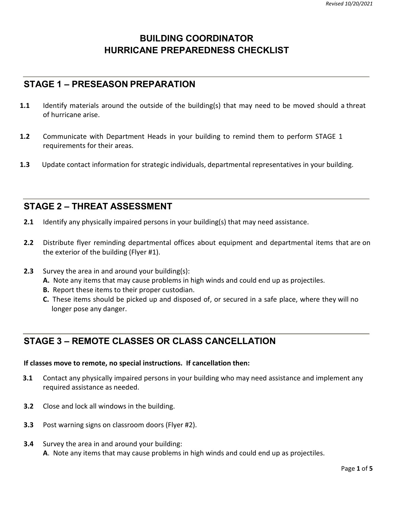### **BUILDING COORDINATOR HURRICANE PREPAREDNESS CHECKLIST**

### **STAGE 1 – PRESEASON PREPARATION**

- **1.1** Identify materials around the outside of the building(s) that may need to be moved should a threat of hurricane arise.
- **1.2** Communicate with Department Heads in your building to remind them to perform STAGE 1 requirements for their areas.
- **1.3** Update contact information for strategic individuals, departmental representatives in your building.

### **STAGE 2 – THREAT ASSESSMENT**

- **2.1** Identify any physically impaired persons in your building(s) that may need assistance.
- **2.2** Distribute flyer reminding departmental offices about equipment and departmental items that are on the exterior of the building (Flyer #1).
- **2.3** Survey the area in and around your building(s):
	- **A.** Note any items that may cause problems in high winds and could end up as projectiles.
	- **B.** Report these items to their proper custodian.
	- **C.** These items should be picked up and disposed of, or secured in a safe place, where they will no longer pose any danger.

### **STAGE 3 – REMOTE CLASSES OR CLASS CANCELLATION**

#### **If classes move to remote, no special instructions. If cancellation then:**

- **3.1** Contact any physically impaired persons in your building who may need assistance and implement any required assistance as needed.
- **3.2** Close and lock all windows in the building.
- **3.3** Post warning signs on classroom doors (Flyer #2).
- **3.4** Survey the area in and around your building: **A**. Note any items that may cause problems in high winds and could end up as projectiles.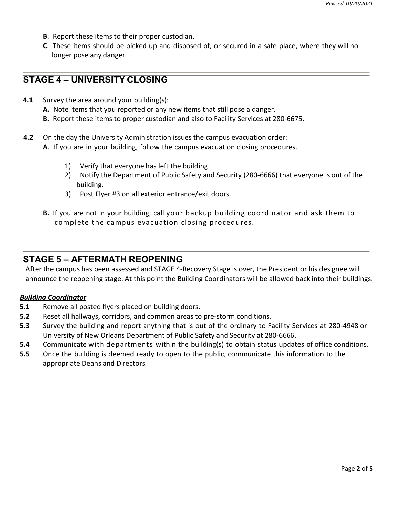- **B**. Report these items to their proper custodian.
- **C**. These items should be picked up and disposed of, or secured in a safe place, where they will no longer pose any danger.

### **STAGE 4 – UNIVERSITY CLOSING**

- **4.1** Survey the area around your building(s):
	- **A.** Note items that you reported or any new items that still pose a danger.
	- **B.** Report these items to proper custodian and also to Facility Services at 280-6675.
- **4.2** On the day the University Administration issues the campus evacuation order:
	- **A**. If you are in your building, follow the campus evacuation closing procedures.
		- 1) Verify that everyone has left the building
		- 2) Notify the Department of Public Safety and Security (280-6666) that everyone is out of the building.
		- 3) Post Flyer #3 on all exterior entrance/exit doors.
	- **B.** If you are not in your building, call your backup building coordinator and ask them to complete the campus evacuation closing procedures.

#### **STAGE 5 – AFTERMATH REOPENING**

After the campus has been assessed and STAGE 4-Recovery Stage is over, the President or his designee will announce the reopening stage. At this point the Building Coordinators will be allowed back into their buildings.

#### *Building Coordinator*

- **5.1** Remove all posted flyers placed on building doors.
- **5.2** Reset all hallways, corridors, and common areas to pre-storm conditions.
- **5.3** Survey the building and report anything that is out of the ordinary to Facility Services at 280-4948 or University of New Orleans Department of Public Safety and Security at 280-6666.
- **5.4** Communicate with departments within the building(s) to obtain status updates of office conditions.
- **5.5** Once the building is deemed ready to open to the public, communicate this information to the appropriate Deans and Directors.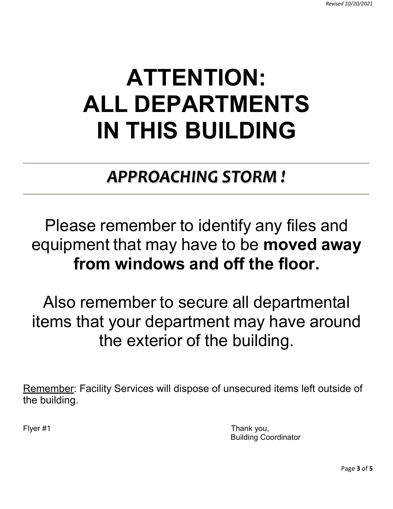### **ATTENTION: ALL DEPARTMENTS IN THIS BUILDING**

### *APPROACHING STORM !*

### Please remember to identify any files and equipment that may have to be **moved away from windows and off the floor.**

Also remember to secure all departmental items that your department may have around the exterior of the building.

Remember: Facility Services will dispose of unsecured items left outside of the building.

Flyer #1 Thank you, Building Coordinator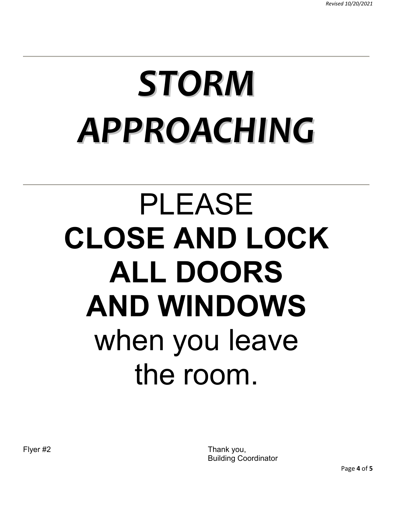# *STORM APPROACHING*

# PLEASE **CLOSE AND LOCK ALL DOORS AND WINDOWS** when you leave the room.